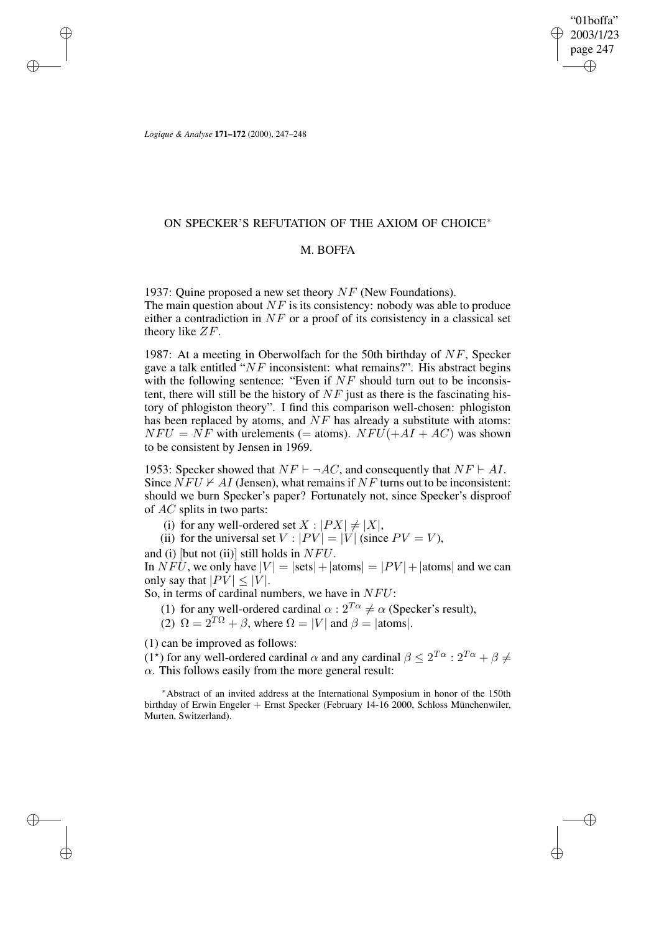"01boffa" 2003/1/23 page 247 ✐ ✐

✐

✐

*Logique & Analyse* **171–172** (2000), 247–248

✐

✐

✐

✐

## ON SPECKER'S REFUTATION OF THE AXIOM OF CHOICE<sup>∗</sup>

## M. BOFFA

1937: Quine proposed a new set theory  $NF$  (New Foundations). The main question about  $NF$  is its consistency: nobody was able to produce either a contradiction in  $NF$  or a proof of its consistency in a classical set theory like  $ZF$ .

1987: At a meeting in Oberwolfach for the 50th birthday of  $NF$ . Specker gave a talk entitled "NF inconsistent: what remains?". His abstract begins with the following sentence: "Even if  $NF$  should turn out to be inconsistent, there will still be the history of  $NF$  just as there is the fascinating history of phlogiston theory". I find this comparison well-chosen: phlogiston has been replaced by atoms, and NF has already a substitute with atoms:  $NFU = NF$  with urelements (= atoms).  $NFU(+AI+AC)$  was shown to be consistent by Jensen in 1969.

1953: Specker showed that  $NF \vdash \neg AC$ , and consequently that  $NF \vdash AI$ . Since  $NFU \nvdash AI$  (Jensen), what remains if  $NF$  turns out to be inconsistent: should we burn Specker's paper? Fortunately not, since Specker's disproof of AC splits in two parts:

(i) for any well-ordered set  $X: |PX| \neq |X|$ ,

(ii) for the universal set  $V : |PV| = |V|$  (since  $PV = V$ ),

and (i) [but not (ii)] still holds in  $NFU$ .

In  $NF\dot{U}$ , we only have  $|V| = |\text{sets}| + |\text{atoms}| = |PV| + |\text{atoms}|$  and we can only say that  $|PV| \leq |V|$ .

So, in terms of cardinal numbers, we have in NFU:

(1) for any well-ordered cardinal  $\alpha$  :  $2^{T\alpha} \neq \alpha$  (Specker's result),

(2)  $\Omega = 2^{T\Omega} + \beta$ , where  $\Omega = |V|$  and  $\beta = |\text{atoms}|$ .

(1) can be improved as follows:

(1<sup>\*</sup>) for any well-ordered cardinal  $\alpha$  and any cardinal  $\beta \leq 2^{T\alpha}$  :  $2^{T\alpha} + \beta \neq 0$  $\alpha$ . This follows easily from the more general result:

<sup>∗</sup>Abstract of an invited address at the International Symposium in honor of the 150th birthday of Erwin Engeler + Ernst Specker (February 14-16 2000, Schloss Münchenwiler, Murten, Switzerland).